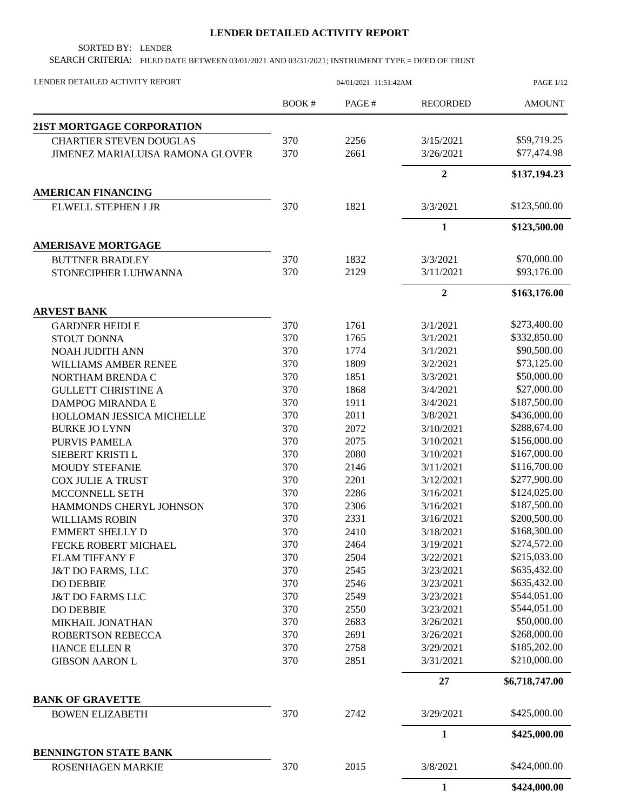## **LENDER DETAILED ACTIVITY REPORT**

SORTED BY: LENDER

SEARCH CRITERIA: FILED DATE BETWEEN 03/01/2021 AND 03/31/2021; INSTRUMENT TYPE = DEED OF TRUST

| LENDER DETAILED ACTIVITY REPORT                          | 04/01/2021 11:51:42AM |       |                  | <b>PAGE 1/12</b> |
|----------------------------------------------------------|-----------------------|-------|------------------|------------------|
|                                                          | BOOK#                 | PAGE# | <b>RECORDED</b>  | <b>AMOUNT</b>    |
| 21ST MORTGAGE CORPORATION                                |                       |       |                  |                  |
| <b>CHARTIER STEVEN DOUGLAS</b>                           | 370                   | 2256  | 3/15/2021        | \$59,719.25      |
| JIMENEZ MARIALUISA RAMONA GLOVER                         | 370                   | 2661  | 3/26/2021        | \$77,474.98      |
|                                                          |                       |       | $\overline{2}$   | \$137,194.23     |
| <b>AMERICAN FINANCING</b>                                |                       |       |                  |                  |
| ELWELL STEPHEN J JR                                      | 370                   | 1821  | 3/3/2021         | \$123,500.00     |
|                                                          |                       |       | $\mathbf{1}$     | \$123,500.00     |
| <b>AMERISAVE MORTGAGE</b>                                |                       |       |                  |                  |
| <b>BUTTNER BRADLEY</b>                                   | 370                   | 1832  | 3/3/2021         | \$70,000.00      |
| STONECIPHER LUHWANNA                                     | 370                   | 2129  | 3/11/2021        | \$93,176.00      |
|                                                          |                       |       | $\boldsymbol{2}$ | \$163,176.00     |
| <b>ARVEST BANK</b>                                       |                       |       |                  |                  |
| <b>GARDNER HEIDI E</b>                                   | 370                   | 1761  | 3/1/2021         | \$273,400.00     |
| <b>STOUT DONNA</b>                                       | 370                   | 1765  | 3/1/2021         | \$332,850.00     |
| <b>NOAH JUDITH ANN</b>                                   | 370                   | 1774  | 3/1/2021         | \$90,500.00      |
| WILLIAMS AMBER RENEE                                     | 370                   | 1809  | 3/2/2021         | \$73,125.00      |
| NORTHAM BRENDA C                                         | 370                   | 1851  | 3/3/2021         | \$50,000.00      |
| <b>GULLETT CHRISTINE A</b>                               | 370                   | 1868  | 3/4/2021         | \$27,000.00      |
| DAMPOG MIRANDA E                                         | 370                   | 1911  | 3/4/2021         | \$187,500.00     |
| HOLLOMAN JESSICA MICHELLE                                | 370                   | 2011  | 3/8/2021         | \$436,000.00     |
| <b>BURKE JO LYNN</b>                                     | 370                   | 2072  | 3/10/2021        | \$288,674.00     |
| PURVIS PAMELA                                            | 370                   | 2075  | 3/10/2021        | \$156,000.00     |
| SIEBERT KRISTI L                                         | 370                   | 2080  | 3/10/2021        | \$167,000.00     |
| <b>MOUDY STEFANIE</b>                                    | 370                   | 2146  | 3/11/2021        | \$116,700.00     |
| <b>COX JULIE A TRUST</b>                                 | 370                   | 2201  | 3/12/2021        | \$277,900.00     |
| MCCONNELL SETH                                           | 370                   | 2286  | 3/16/2021        | \$124,025.00     |
| HAMMONDS CHERYL JOHNSON                                  | 370                   | 2306  | 3/16/2021        | \$187,500.00     |
| <b>WILLIAMS ROBIN</b>                                    | 370                   | 2331  | 3/16/2021        | \$200,500.00     |
| <b>EMMERT SHELLY D</b>                                   | 370                   | 2410  | 3/18/2021        | \$168,300.00     |
| FECKE ROBERT MICHAEL                                     | 370                   | 2464  | 3/19/2021        | \$274,572.00     |
| <b>ELAM TIFFANY F</b>                                    | 370                   | 2504  | 3/22/2021        | \$215,033.00     |
| <b>J&amp;T DO FARMS, LLC</b>                             | 370                   | 2545  | 3/23/2021        | \$635,432.00     |
| <b>DO DEBBIE</b>                                         | 370                   | 2546  | 3/23/2021        | \$635,432.00     |
| <b>J&amp;T DO FARMS LLC</b>                              | 370                   | 2549  | 3/23/2021        | \$544,051.00     |
| <b>DO DEBBIE</b>                                         | 370                   | 2550  | 3/23/2021        | \$544,051.00     |
| MIKHAIL JONATHAN                                         | 370                   | 2683  | 3/26/2021        | \$50,000.00      |
| <b>ROBERTSON REBECCA</b>                                 | 370                   | 2691  | 3/26/2021        | \$268,000.00     |
| HANCE ELLEN R                                            | 370                   | 2758  | 3/29/2021        | \$185,202.00     |
| <b>GIBSON AARON L</b>                                    | 370                   | 2851  | 3/31/2021        | \$210,000.00     |
|                                                          |                       |       | 27               | \$6,718,747.00   |
| <b>BANK OF GRAVETTE</b>                                  |                       |       |                  |                  |
| <b>BOWEN ELIZABETH</b>                                   | 370                   | 2742  | 3/29/2021        | \$425,000.00     |
|                                                          |                       |       | $\mathbf{1}$     | \$425,000.00     |
| <b>BENNINGTON STATE BANK</b><br><b>ROSENHAGEN MARKIE</b> | 370                   | 2015  | 3/8/2021         | \$424,000.00     |
|                                                          |                       |       | $\mathbf{1}$     | \$424,000.00     |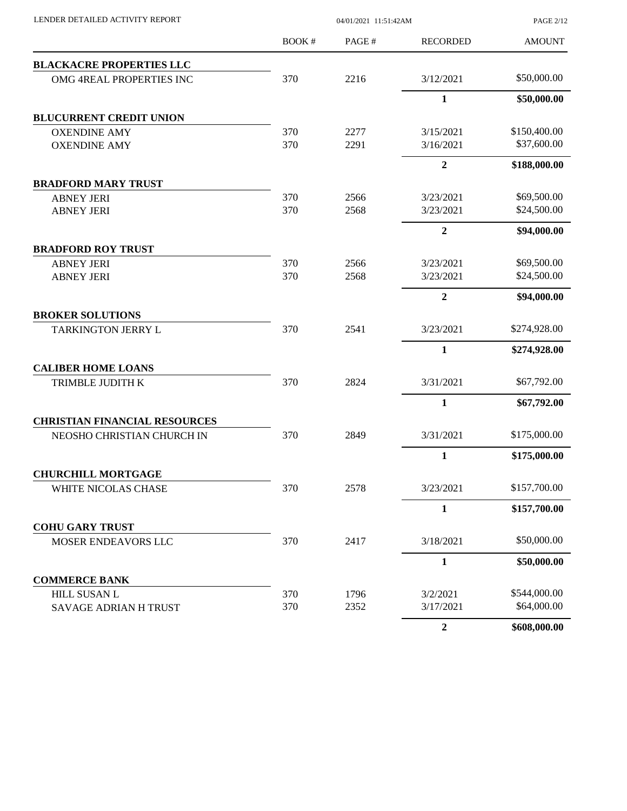| LENDER DETAILED ACTIVITY REPORT      |       | 04/01/2021 11:51:42AM |                  | <b>PAGE 2/12</b> |  |
|--------------------------------------|-------|-----------------------|------------------|------------------|--|
|                                      | BOOK# | PAGE#                 | <b>RECORDED</b>  | <b>AMOUNT</b>    |  |
| <b>BLACKACRE PROPERTIES LLC</b>      |       |                       |                  |                  |  |
| OMG 4REAL PROPERTIES INC             | 370   | 2216                  | 3/12/2021        | \$50,000.00      |  |
|                                      |       |                       | $\mathbf{1}$     | \$50,000.00      |  |
| <b>BLUCURRENT CREDIT UNION</b>       |       |                       |                  |                  |  |
| <b>OXENDINE AMY</b>                  | 370   | 2277                  | 3/15/2021        | \$150,400.00     |  |
| <b>OXENDINE AMY</b>                  | 370   | 2291                  | 3/16/2021        | \$37,600.00      |  |
|                                      |       |                       | $\overline{2}$   | \$188,000.00     |  |
| <b>BRADFORD MARY TRUST</b>           |       |                       |                  |                  |  |
| <b>ABNEY JERI</b>                    | 370   | 2566                  | 3/23/2021        | \$69,500.00      |  |
| <b>ABNEY JERI</b>                    | 370   | 2568                  | 3/23/2021        | \$24,500.00      |  |
|                                      |       |                       | $\overline{2}$   | \$94,000.00      |  |
| <b>BRADFORD ROY TRUST</b>            |       |                       |                  |                  |  |
| <b>ABNEY JERI</b>                    | 370   | 2566                  | 3/23/2021        | \$69,500.00      |  |
| <b>ABNEY JERI</b>                    | 370   | 2568                  | 3/23/2021        | \$24,500.00      |  |
|                                      |       |                       | $\overline{2}$   | \$94,000.00      |  |
| <b>BROKER SOLUTIONS</b>              |       |                       |                  |                  |  |
| TARKINGTON JERRY L                   | 370   | 2541                  | 3/23/2021        | \$274,928.00     |  |
|                                      |       |                       | $\mathbf{1}$     | \$274,928.00     |  |
| <b>CALIBER HOME LOANS</b>            |       |                       |                  |                  |  |
| TRIMBLE JUDITH K                     | 370   | 2824                  | 3/31/2021        | \$67,792.00      |  |
|                                      |       |                       | $\mathbf{1}$     | \$67,792.00      |  |
| <b>CHRISTIAN FINANCIAL RESOURCES</b> |       |                       |                  |                  |  |
| NEOSHO CHRISTIAN CHURCH IN           | 370   | 2849                  | 3/31/2021        | \$175,000.00     |  |
|                                      |       |                       | $\mathbf{1}$     | \$175,000.00     |  |
| <b>CHURCHILL MORTGAGE</b>            |       |                       |                  |                  |  |
| WHITE NICOLAS CHASE                  | 370   | 2578                  | 3/23/2021        | \$157,700.00     |  |
|                                      |       |                       | $\mathbf{1}$     | \$157,700.00     |  |
| <b>COHU GARY TRUST</b>               |       |                       |                  |                  |  |
| MOSER ENDEAVORS LLC                  | 370   | 2417                  | 3/18/2021        | \$50,000.00      |  |
|                                      |       |                       | $\mathbf{1}$     | \$50,000.00      |  |
| <b>COMMERCE BANK</b>                 |       |                       |                  |                  |  |
| <b>HILL SUSAN L</b>                  | 370   | 1796                  | 3/2/2021         | \$544,000.00     |  |
| SAVAGE ADRIAN H TRUST                | 370   | 2352                  | 3/17/2021        | \$64,000.00      |  |
|                                      |       |                       | $\boldsymbol{2}$ | \$608,000.00     |  |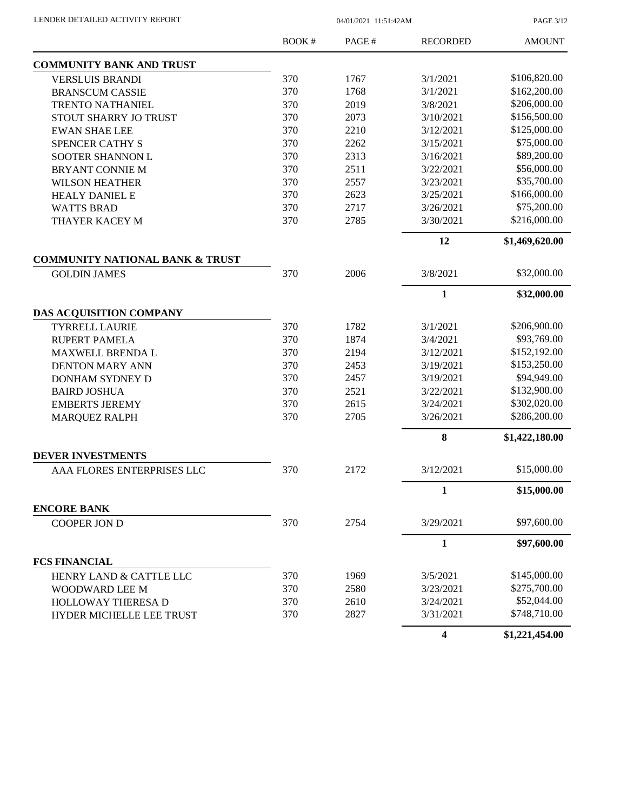| LENDER DETAILED ACTIVITY REPORT |  |
|---------------------------------|--|

04/01/2021 11:51:42AM

PAGE 3/12

|                                            | BOOK # | PAGE# | <b>RECORDED</b> | <b>AMOUNT</b>  |
|--------------------------------------------|--------|-------|-----------------|----------------|
| <b>COMMUNITY BANK AND TRUST</b>            |        |       |                 |                |
| <b>VERSLUIS BRANDI</b>                     | 370    | 1767  | 3/1/2021        | \$106,820.00   |
| <b>BRANSCUM CASSIE</b>                     | 370    | 1768  | 3/1/2021        | \$162,200.00   |
| TRENTO NATHANIEL                           | 370    | 2019  | 3/8/2021        | \$206,000.00   |
| STOUT SHARRY JO TRUST                      | 370    | 2073  | 3/10/2021       | \$156,500.00   |
| <b>EWAN SHAE LEE</b>                       | 370    | 2210  | 3/12/2021       | \$125,000.00   |
| SPENCER CATHY S                            | 370    | 2262  | 3/15/2021       | \$75,000.00    |
| SOOTER SHANNON L                           | 370    | 2313  | 3/16/2021       | \$89,200.00    |
| BRYANT CONNIE M                            | 370    | 2511  | 3/22/2021       | \$56,000.00    |
| <b>WILSON HEATHER</b>                      | 370    | 2557  | 3/23/2021       | \$35,700.00    |
| <b>HEALY DANIEL E</b>                      | 370    | 2623  | 3/25/2021       | \$166,000.00   |
| <b>WATTS BRAD</b>                          | 370    | 2717  | 3/26/2021       | \$75,200.00    |
| THAYER KACEY M                             | 370    | 2785  | 3/30/2021       | \$216,000.00   |
|                                            |        |       | 12              | \$1,469,620.00 |
| <b>COMMUNITY NATIONAL BANK &amp; TRUST</b> |        |       |                 |                |
| <b>GOLDIN JAMES</b>                        | 370    | 2006  | 3/8/2021        | \$32,000.00    |
|                                            |        |       | $\mathbf{1}$    | \$32,000.00    |
| DAS ACQUISITION COMPANY                    |        |       |                 |                |
| <b>TYRRELL LAURIE</b>                      | 370    | 1782  | 3/1/2021        | \$206,900.00   |
| <b>RUPERT PAMELA</b>                       | 370    | 1874  | 3/4/2021        | \$93,769.00    |
| MAXWELL BRENDA L                           | 370    | 2194  | 3/12/2021       | \$152,192.00   |
| <b>DENTON MARY ANN</b>                     | 370    | 2453  | 3/19/2021       | \$153,250.00   |
| DONHAM SYDNEY D                            | 370    | 2457  | 3/19/2021       | \$94,949.00    |
| <b>BAIRD JOSHUA</b>                        | 370    | 2521  | 3/22/2021       | \$132,900.00   |
| <b>EMBERTS JEREMY</b>                      | 370    | 2615  | 3/24/2021       | \$302,020.00   |
| <b>MARQUEZ RALPH</b>                       | 370    | 2705  | 3/26/2021       | \$286,200.00   |
|                                            |        |       | 8               | \$1,422,180.00 |
| <b>DEVER INVESTMENTS</b>                   |        |       |                 |                |
| AAA FLORES ENTERPRISES LLC                 | 370    | 2172  | 3/12/2021       | \$15,000.00    |
|                                            |        |       | 1               | \$15,000.00    |
| <b>ENCORE BANK</b>                         |        |       |                 |                |
| <b>COOPER JON D</b>                        | 370    | 2754  | 3/29/2021       | \$97,600.00    |
|                                            |        |       | 1               | \$97,600.00    |
| <b>FCS FINANCIAL</b>                       |        |       |                 |                |
| HENRY LAND & CATTLE LLC                    | 370    | 1969  | 3/5/2021        | \$145,000.00   |
| WOODWARD LEE M                             | 370    | 2580  | 3/23/2021       | \$275,700.00   |
| HOLLOWAY THERESA D                         | 370    | 2610  | 3/24/2021       | \$52,044.00    |
| HYDER MICHELLE LEE TRUST                   | 370    | 2827  | 3/31/2021       | \$748,710.00   |
|                                            |        |       | 4               | \$1,221,454.00 |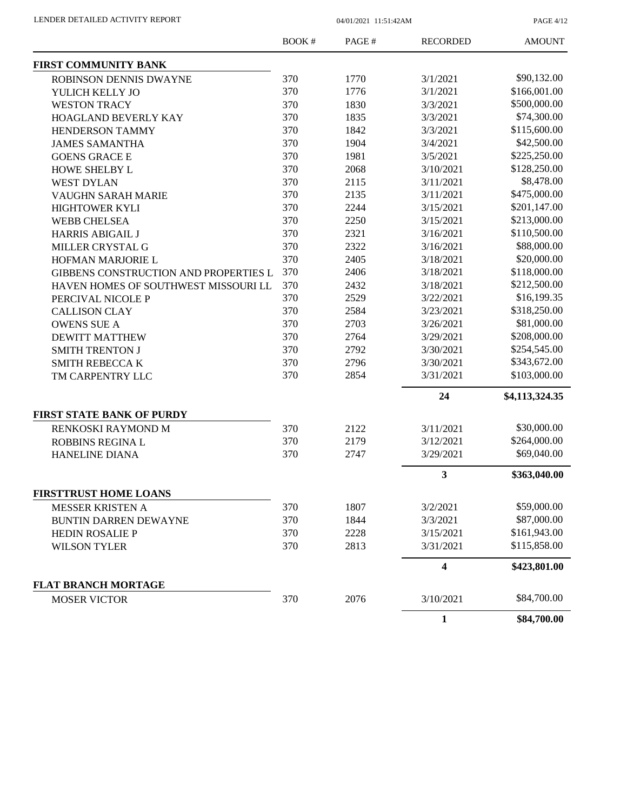PAGE 4/12

|                                       | <b>BOOK#</b> | PAGE# | <b>RECORDED</b> | <b>AMOUNT</b>  |
|---------------------------------------|--------------|-------|-----------------|----------------|
| FIRST COMMUNITY BANK                  |              |       |                 |                |
| ROBINSON DENNIS DWAYNE                | 370          | 1770  | 3/1/2021        | \$90,132.00    |
| YULICH KELLY JO                       | 370          | 1776  | 3/1/2021        | \$166,001.00   |
| <b>WESTON TRACY</b>                   | 370          | 1830  | 3/3/2021        | \$500,000.00   |
| HOAGLAND BEVERLY KAY                  | 370          | 1835  | 3/3/2021        | \$74,300.00    |
| HENDERSON TAMMY                       | 370          | 1842  | 3/3/2021        | \$115,600.00   |
| <b>JAMES SAMANTHA</b>                 | 370          | 1904  | 3/4/2021        | \$42,500.00    |
| <b>GOENS GRACE E</b>                  | 370          | 1981  | 3/5/2021        | \$225,250.00   |
| HOWE SHELBY L                         | 370          | 2068  | 3/10/2021       | \$128,250.00   |
| <b>WEST DYLAN</b>                     | 370          | 2115  | 3/11/2021       | \$8,478.00     |
| VAUGHN SARAH MARIE                    | 370          | 2135  | 3/11/2021       | \$475,000.00   |
| HIGHTOWER KYLI                        | 370          | 2244  | 3/15/2021       | \$201,147.00   |
| <b>WEBB CHELSEA</b>                   | 370          | 2250  | 3/15/2021       | \$213,000.00   |
| <b>HARRIS ABIGAIL J</b>               | 370          | 2321  | 3/16/2021       | \$110,500.00   |
| MILLER CRYSTAL G                      | 370          | 2322  | 3/16/2021       | \$88,000.00    |
| HOFMAN MARJORIE L                     | 370          | 2405  | 3/18/2021       | \$20,000.00    |
| GIBBENS CONSTRUCTION AND PROPERTIES L | 370          | 2406  | 3/18/2021       | \$118,000.00   |
| HAVEN HOMES OF SOUTHWEST MISSOURI LL  | 370          | 2432  | 3/18/2021       | \$212,500.00   |
| PERCIVAL NICOLE P                     | 370          | 2529  | 3/22/2021       | \$16,199.35    |
| <b>CALLISON CLAY</b>                  | 370          | 2584  | 3/23/2021       | \$318,250.00   |
| <b>OWENS SUE A</b>                    | 370          | 2703  | 3/26/2021       | \$81,000.00    |
| <b>DEWITT MATTHEW</b>                 | 370          | 2764  | 3/29/2021       | \$208,000.00   |
| <b>SMITH TRENTON J</b>                | 370          | 2792  | 3/30/2021       | \$254,545.00   |
| <b>SMITH REBECCA K</b>                | 370          | 2796  | 3/30/2021       | \$343,672.00   |
| TM CARPENTRY LLC                      | 370          | 2854  | 3/31/2021       | \$103,000.00   |
|                                       |              |       | 24              |                |
|                                       |              |       |                 | \$4,113,324.35 |
| <b>FIRST STATE BANK OF PURDY</b>      |              |       |                 |                |
| RENKOSKI RAYMOND M                    | 370          | 2122  | 3/11/2021       | \$30,000.00    |
| ROBBINS REGINA L                      | 370          | 2179  | 3/12/2021       | \$264,000.00   |
| <b>HANELINE DIANA</b>                 | 370          | 2747  | 3/29/2021       | \$69,040.00    |
|                                       |              |       | 3               | \$363,040.00   |
| <b>FIRSTTRUST HOME LOANS</b>          |              |       |                 |                |
| <b>MESSER KRISTEN A</b>               | 370          | 1807  | 3/2/2021        | \$59,000.00    |
| <b>BUNTIN DARREN DEWAYNE</b>          | 370          | 1844  | 3/3/2021        | \$87,000.00    |
| <b>HEDIN ROSALIE P</b>                | 370          | 2228  | 3/15/2021       | \$161,943.00   |
| <b>WILSON TYLER</b>                   | 370          | 2813  | 3/31/2021       | \$115,858.00   |
|                                       |              |       | 4               | \$423,801.00   |
| <b>FLAT BRANCH MORTAGE</b>            |              |       |                 |                |
| <b>MOSER VICTOR</b>                   | 370          | 2076  | 3/10/2021       | \$84,700.00    |
|                                       |              |       | 1               | \$84,700.00    |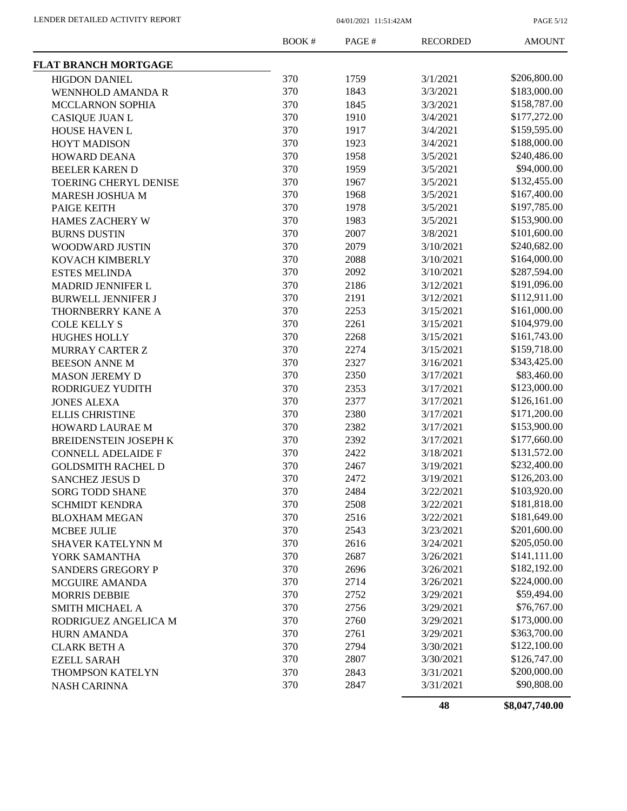PAGE 5/12

|                              | BOOK# | PAGE# | <b>RECORDED</b> | <b>AMOUNT</b> |
|------------------------------|-------|-------|-----------------|---------------|
| <b>FLAT BRANCH MORTGAGE</b>  |       |       |                 |               |
| <b>HIGDON DANIEL</b>         | 370   | 1759  | 3/1/2021        | \$206,800.00  |
| <b>WENNHOLD AMANDA R</b>     | 370   | 1843  | 3/3/2021        | \$183,000.00  |
| <b>MCCLARNON SOPHIA</b>      | 370   | 1845  | 3/3/2021        | \$158,787.00  |
| <b>CASIQUE JUAN L</b>        | 370   | 1910  | 3/4/2021        | \$177,272.00  |
| HOUSE HAVEN L                | 370   | 1917  | 3/4/2021        | \$159,595.00  |
| <b>HOYT MADISON</b>          | 370   | 1923  | 3/4/2021        | \$188,000.00  |
| HOWARD DEANA                 | 370   | 1958  | 3/5/2021        | \$240,486.00  |
| <b>BEELER KAREN D</b>        | 370   | 1959  | 3/5/2021        | \$94,000.00   |
| <b>TOERING CHERYL DENISE</b> | 370   | 1967  | 3/5/2021        | \$132,455.00  |
| MARESH JOSHUA M              | 370   | 1968  | 3/5/2021        | \$167,400.00  |
| PAIGE KEITH                  | 370   | 1978  | 3/5/2021        | \$197,785.00  |
| HAMES ZACHERY W              | 370   | 1983  | 3/5/2021        | \$153,900.00  |
| <b>BURNS DUSTIN</b>          | 370   | 2007  | 3/8/2021        | \$101,600.00  |
| WOODWARD JUSTIN              | 370   | 2079  | 3/10/2021       | \$240,682.00  |
| KOVACH KIMBERLY              | 370   | 2088  | 3/10/2021       | \$164,000.00  |
| <b>ESTES MELINDA</b>         | 370   | 2092  | 3/10/2021       | \$287,594.00  |
| MADRID JENNIFER L            | 370   | 2186  | 3/12/2021       | \$191,096.00  |
| <b>BURWELL JENNIFER J</b>    | 370   | 2191  | 3/12/2021       | \$112,911.00  |
| THORNBERRY KANE A            | 370   | 2253  | 3/15/2021       | \$161,000.00  |
| <b>COLE KELLY S</b>          | 370   | 2261  | 3/15/2021       | \$104,979.00  |
| <b>HUGHES HOLLY</b>          | 370   | 2268  | 3/15/2021       | \$161,743.00  |
| <b>MURRAY CARTER Z</b>       | 370   | 2274  | 3/15/2021       | \$159,718.00  |
| <b>BEESON ANNE M</b>         | 370   | 2327  | 3/16/2021       | \$343,425.00  |
| <b>MASON JEREMY D</b>        | 370   | 2350  | 3/17/2021       | \$83,460.00   |
| RODRIGUEZ YUDITH             | 370   | 2353  | 3/17/2021       | \$123,000.00  |
| <b>JONES ALEXA</b>           | 370   | 2377  | 3/17/2021       | \$126,161.00  |
| <b>ELLIS CHRISTINE</b>       | 370   | 2380  | 3/17/2021       | \$171,200.00  |
| HOWARD LAURAE M              | 370   | 2382  | 3/17/2021       | \$153,900.00  |
| BREIDENSTEIN JOSEPH K        | 370   | 2392  | 3/17/2021       | \$177,660.00  |
| <b>CONNELL ADELAIDE F</b>    | 370   | 2422  | 3/18/2021       | \$131,572.00  |
| <b>GOLDSMITH RACHEL D</b>    | 370   | 2467  | 3/19/2021       | \$232,400.00  |
| <b>SANCHEZ JESUS D</b>       | 370   | 2472  | 3/19/2021       | \$126,203.00  |
| <b>SORG TODD SHANE</b>       | 370   | 2484  | 3/22/2021       | \$103,920.00  |
| <b>SCHMIDT KENDRA</b>        | 370   | 2508  | 3/22/2021       | \$181,818.00  |
| <b>BLOXHAM MEGAN</b>         | 370   | 2516  | 3/22/2021       | \$181,649.00  |
| <b>MCBEE JULIE</b>           | 370   | 2543  | 3/23/2021       | \$201,600.00  |
| SHAVER KATELYNN M            | 370   | 2616  | 3/24/2021       | \$205,050.00  |
| YORK SAMANTHA                | 370   | 2687  | 3/26/2021       | \$141,111.00  |
| <b>SANDERS GREGORY P</b>     | 370   | 2696  | 3/26/2021       | \$182,192.00  |
| <b>MCGUIRE AMANDA</b>        | 370   | 2714  | 3/26/2021       | \$224,000.00  |
| <b>MORRIS DEBBIE</b>         | 370   | 2752  | 3/29/2021       | \$59,494.00   |
| SMITH MICHAEL A              | 370   | 2756  | 3/29/2021       | \$76,767.00   |
| RODRIGUEZ ANGELICA M         | 370   | 2760  | 3/29/2021       | \$173,000.00  |
| HURN AMANDA                  | 370   | 2761  | 3/29/2021       | \$363,700.00  |
| <b>CLARK BETH A</b>          | 370   | 2794  | 3/30/2021       | \$122,100.00  |
| <b>EZELL SARAH</b>           | 370   | 2807  | 3/30/2021       | \$126,747.00  |
| THOMPSON KATELYN             | 370   | 2843  | 3/31/2021       | \$200,000.00  |
| <b>NASH CARINNA</b>          | 370   | 2847  | 3/31/2021       | \$90,808.00   |
|                              |       |       |                 |               |

**48 \$8,047,740.00**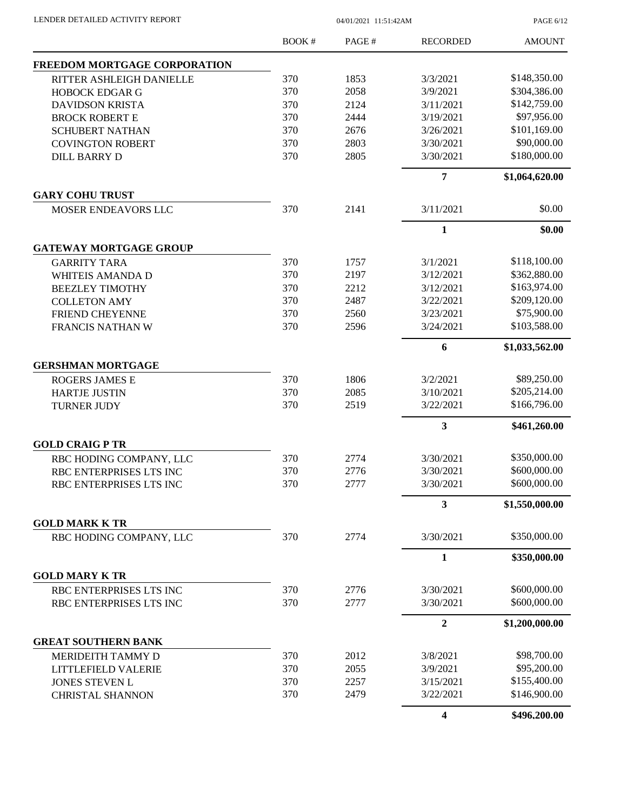PAGE 6/12

|                                                  | BOOK# | PAGE # | <b>RECORDED</b>  | <b>AMOUNT</b>  |
|--------------------------------------------------|-------|--------|------------------|----------------|
| FREEDOM MORTGAGE CORPORATION                     |       |        |                  |                |
| RITTER ASHLEIGH DANIELLE                         | 370   | 1853   | 3/3/2021         | \$148,350.00   |
| <b>HOBOCK EDGAR G</b>                            | 370   | 2058   | 3/9/2021         | \$304,386.00   |
| <b>DAVIDSON KRISTA</b>                           | 370   | 2124   | 3/11/2021        | \$142,759.00   |
| <b>BROCK ROBERT E</b>                            | 370   | 2444   | 3/19/2021        | \$97,956.00    |
| <b>SCHUBERT NATHAN</b>                           | 370   | 2676   | 3/26/2021        | \$101,169.00   |
| <b>COVINGTON ROBERT</b>                          | 370   | 2803   | 3/30/2021        | \$90,000.00    |
| <b>DILL BARRY D</b>                              | 370   | 2805   | 3/30/2021        | \$180,000.00   |
|                                                  |       |        | $\overline{7}$   | \$1,064,620.00 |
| <b>GARY COHU TRUST</b>                           |       |        |                  |                |
| MOSER ENDEAVORS LLC                              | 370   | 2141   | 3/11/2021        | \$0.00         |
|                                                  |       |        | 1                | \$0.00         |
| <b>GATEWAY MORTGAGE GROUP</b>                    |       |        |                  |                |
| <b>GARRITY TARA</b>                              | 370   | 1757   | 3/1/2021         | \$118,100.00   |
| <b>WHITEIS AMANDA D</b>                          | 370   | 2197   | 3/12/2021        | \$362,880.00   |
| <b>BEEZLEY TIMOTHY</b>                           | 370   | 2212   | 3/12/2021        | \$163,974.00   |
| <b>COLLETON AMY</b>                              | 370   | 2487   | 3/22/2021        | \$209,120.00   |
| <b>FRIEND CHEYENNE</b>                           | 370   | 2560   | 3/23/2021        | \$75,900.00    |
| FRANCIS NATHAN W                                 | 370   | 2596   | 3/24/2021        | \$103,588.00   |
|                                                  |       |        | 6                | \$1,033,562.00 |
| <b>GERSHMAN MORTGAGE</b>                         |       |        |                  |                |
| <b>ROGERS JAMES E</b>                            | 370   | 1806   | 3/2/2021         | \$89,250.00    |
| <b>HARTJE JUSTIN</b>                             | 370   | 2085   | 3/10/2021        | \$205,214.00   |
| <b>TURNER JUDY</b>                               | 370   | 2519   | 3/22/2021        | \$166,796.00   |
|                                                  |       |        | 3                | \$461,260.00   |
| <b>GOLD CRAIG P TR</b>                           |       |        |                  |                |
| RBC HODING COMPANY, LLC                          | 370   | 2774   | 3/30/2021        | \$350,000.00   |
| RBC ENTERPRISES LTS INC                          | 370   | 2776   | 3/30/2021        | \$600,000.00   |
| RBC ENTERPRISES LTS INC                          | 370   | 2777   | 3/30/2021        | \$600,000.00   |
|                                                  |       |        | 3                | \$1,550,000.00 |
| <b>GOLD MARK K TR</b><br>RBC HODING COMPANY, LLC | 370   | 2774   | 3/30/2021        | \$350,000.00   |
|                                                  |       |        | $\mathbf{1}$     | \$350,000.00   |
| <b>GOLD MARY K TR</b>                            |       |        |                  |                |
| RBC ENTERPRISES LTS INC                          | 370   | 2776   | 3/30/2021        | \$600,000.00   |
| RBC ENTERPRISES LTS INC                          | 370   | 2777   | 3/30/2021        | \$600,000.00   |
|                                                  |       |        |                  |                |
| <b>GREAT SOUTHERN BANK</b>                       |       |        | $\boldsymbol{2}$ | \$1,200,000.00 |
|                                                  | 370   | 2012   | 3/8/2021         | \$98,700.00    |
| MERIDEITH TAMMY D                                | 370   | 2055   | 3/9/2021         | \$95,200.00    |
| LITTLEFIELD VALERIE                              | 370   | 2257   | 3/15/2021        | \$155,400.00   |
| JONES STEVEN L<br><b>CHRISTAL SHANNON</b>        | 370   | 2479   | 3/22/2021        | \$146,900.00   |
|                                                  |       |        | 4                | \$496,200.00   |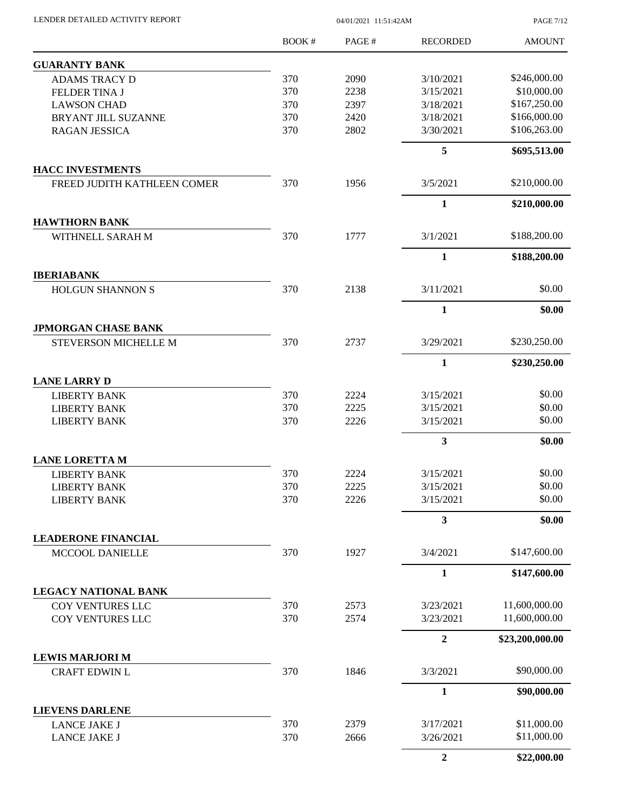| LENDER DETAILED ACTIVITY REPORT |  |
|---------------------------------|--|

04/01/2021 11:51:42AM

PAGE 7/12

|                                                    | <b>BOOK#</b> | PAGE# | <b>RECORDED</b>  | <b>AMOUNT</b>   |
|----------------------------------------------------|--------------|-------|------------------|-----------------|
| <b>GUARANTY BANK</b>                               |              |       |                  |                 |
| <b>ADAMS TRACY D</b>                               | 370          | 2090  | 3/10/2021        | \$246,000.00    |
| FELDER TINA J                                      | 370          | 2238  | 3/15/2021        | \$10,000.00     |
| <b>LAWSON CHAD</b>                                 | 370          | 2397  | 3/18/2021        | \$167,250.00    |
| BRYANT JILL SUZANNE                                | 370          | 2420  | 3/18/2021        | \$166,000.00    |
| <b>RAGAN JESSICA</b>                               | 370          | 2802  | 3/30/2021        | \$106,263.00    |
|                                                    |              |       | 5                | \$695,513.00    |
| <b>HACC INVESTMENTS</b>                            |              |       |                  |                 |
| FREED JUDITH KATHLEEN COMER                        | 370          | 1956  | 3/5/2021         | \$210,000.00    |
|                                                    |              |       | $\mathbf{1}$     | \$210,000.00    |
| <b>HAWTHORN BANK</b>                               |              |       |                  |                 |
| WITHNELL SARAH M                                   | 370          | 1777  | 3/1/2021         | \$188,200.00    |
|                                                    |              |       | $\mathbf{1}$     | \$188,200.00    |
| <b>IBERIABANK</b><br><b>HOLGUN SHANNON S</b>       | 370          | 2138  | 3/11/2021        | \$0.00          |
|                                                    |              |       |                  |                 |
|                                                    |              |       | $\mathbf{1}$     | \$0.00          |
| <b>JPMORGAN CHASE BANK</b><br>STEVERSON MICHELLE M | 370          | 2737  | 3/29/2021        | \$230,250.00    |
|                                                    |              |       | $\mathbf{1}$     | \$230,250.00    |
| <b>LANE LARRY D</b>                                |              |       |                  |                 |
| <b>LIBERTY BANK</b>                                | 370          | 2224  | 3/15/2021        | \$0.00          |
| <b>LIBERTY BANK</b>                                | 370          | 2225  | 3/15/2021        | \$0.00          |
| <b>LIBERTY BANK</b>                                | 370          | 2226  | 3/15/2021        | \$0.00          |
|                                                    |              |       | $\mathbf{3}$     | \$0.00          |
| <b>LANE LORETTA M</b>                              |              |       |                  |                 |
| <b>LIBERTY BANK</b>                                | 370          | 2224  | 3/15/2021        | \$0.00          |
| <b>LIBERTY BANK</b>                                | 370          | 2225  | 3/15/2021        | \$0.00          |
| <b>LIBERTY BANK</b>                                | 370          | 2226  | 3/15/2021        | \$0.00          |
|                                                    |              |       | $\mathbf{3}$     | \$0.00          |
| <b>LEADERONE FINANCIAL</b>                         |              |       |                  |                 |
| MCCOOL DANIELLE                                    | 370          | 1927  | 3/4/2021         | \$147,600.00    |
|                                                    |              |       | $\mathbf{1}$     | \$147,600.00    |
| LEGACY NATIONAL BANK                               |              |       |                  |                 |
| COY VENTURES LLC                                   | 370          | 2573  | 3/23/2021        | 11,600,000.00   |
| COY VENTURES LLC                                   | 370          | 2574  | 3/23/2021        | 11,600,000.00   |
|                                                    |              |       | $\overline{2}$   | \$23,200,000.00 |
| <b>LEWIS MARJORI M</b><br><b>CRAFT EDWIN L</b>     | 370          | 1846  | 3/3/2021         | \$90,000.00     |
|                                                    |              |       |                  |                 |
|                                                    |              |       | $\mathbf{1}$     | \$90,000.00     |
| <b>LIEVENS DARLENE</b><br><b>LANCE JAKE J</b>      | 370          | 2379  | 3/17/2021        | \$11,000.00     |
| LANCE JAKE J                                       | 370          | 2666  | 3/26/2021        | \$11,000.00     |
|                                                    |              |       | $\boldsymbol{2}$ | \$22,000.00     |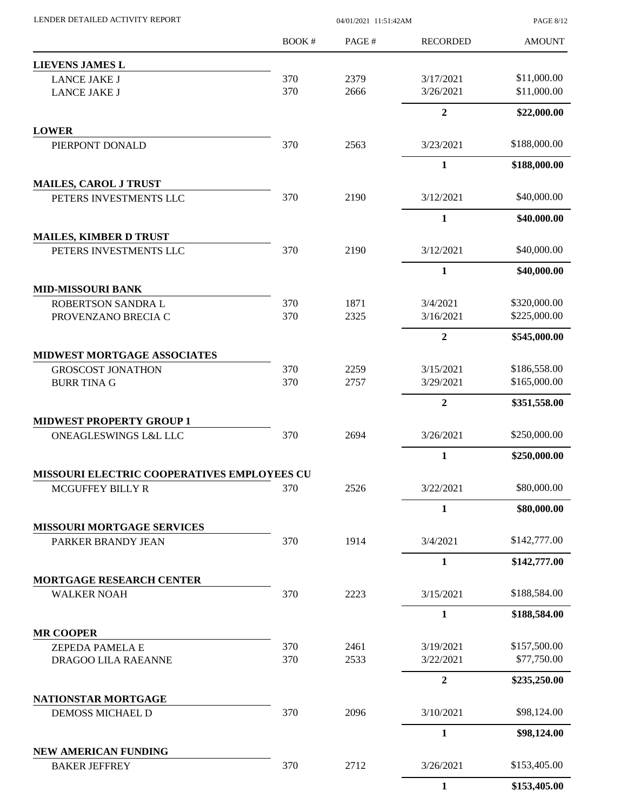| LENDER DETAILED ACTIVITY REPORT                |              | <b>PAGE 8/12</b> |                        |                              |
|------------------------------------------------|--------------|------------------|------------------------|------------------------------|
|                                                | <b>BOOK#</b> | PAGE#            | <b>RECORDED</b>        | <b>AMOUNT</b>                |
| <b>LIEVENS JAMES L</b>                         |              |                  |                        |                              |
| <b>LANCE JAKE J</b>                            | 370          | 2379             | 3/17/2021              | \$11,000.00                  |
| <b>LANCE JAKE J</b>                            | 370          | 2666             | 3/26/2021              | \$11,000.00                  |
|                                                |              |                  | $\mathbf 2$            | \$22,000.00                  |
| <b>LOWER</b><br>PIERPONT DONALD                | 370          | 2563             | 3/23/2021              | \$188,000.00                 |
|                                                |              |                  | $\mathbf{1}$           | \$188,000.00                 |
| <b>MAILES, CAROL J TRUST</b>                   |              |                  |                        |                              |
| PETERS INVESTMENTS LLC                         | 370          | 2190             | 3/12/2021              | \$40,000.00                  |
|                                                |              |                  | $\mathbf{1}$           | \$40,000.00                  |
| <b>MAILES, KIMBER D TRUST</b>                  |              |                  |                        |                              |
| PETERS INVESTMENTS LLC                         | 370          | 2190             | 3/12/2021              | \$40,000.00                  |
|                                                |              |                  | $\mathbf{1}$           | \$40,000.00                  |
| <b>MID-MISSOURI BANK</b><br>ROBERTSON SANDRA L | 370          | 1871             | 3/4/2021               | \$320,000.00                 |
| PROVENZANO BRECIA C                            | 370          | 2325             | 3/16/2021              | \$225,000.00                 |
|                                                |              |                  | $\overline{2}$         | \$545,000.00                 |
| <b>MIDWEST MORTGAGE ASSOCIATES</b>             |              |                  |                        |                              |
| <b>GROSCOST JONATHON</b>                       | 370<br>370   | 2259<br>2757     | 3/15/2021<br>3/29/2021 | \$186,558.00<br>\$165,000.00 |
| <b>BURR TINA G</b>                             |              |                  | $\boldsymbol{2}$       | \$351,558.00                 |
| <b>MIDWEST PROPERTY GROUP 1</b>                |              |                  |                        |                              |
| <b>ONEAGLESWINGS L&amp;L LLC</b>               | 370          | 2694             | 3/26/2021              | \$250,000.00                 |
|                                                |              |                  | $\mathbf{1}$           | \$250,000.00                 |
| MISSOURI ELECTRIC COOPERATIVES EMPLOYEES CU    |              |                  |                        |                              |
| <b>MCGUFFEY BILLY R</b>                        | 370          | 2526             | 3/22/2021              | \$80,000.00                  |
|                                                |              |                  | $\mathbf{1}$           | \$80,000.00                  |
| <b>MISSOURI MORTGAGE SERVICES</b>              |              |                  |                        |                              |
| PARKER BRANDY JEAN                             | 370          | 1914             | 3/4/2021               | \$142,777.00                 |
|                                                |              |                  | $\mathbf{1}$           | \$142,777.00                 |
| MORTGAGE RESEARCH CENTER<br><b>WALKER NOAH</b> | 370          | 2223             | 3/15/2021              | \$188,584.00                 |
|                                                |              |                  | $\mathbf{1}$           | \$188,584.00                 |
| <b>MR COOPER</b>                               |              |                  |                        |                              |
| <b>ZEPEDA PAMELA E</b>                         | 370          | 2461             | 3/19/2021              | \$157,500.00                 |
| DRAGOO LILA RAEANNE                            | 370          | 2533             | 3/22/2021              | \$77,750.00                  |
|                                                |              |                  | $\overline{2}$         | \$235,250.00                 |
| NATIONSTAR MORTGAGE<br>DEMOSS MICHAEL D        | 370          | 2096             | 3/10/2021              | \$98,124.00                  |
|                                                |              |                  | $\mathbf{1}$           | \$98,124.00                  |
| <b>NEW AMERICAN FUNDING</b>                    |              |                  |                        |                              |
| <b>BAKER JEFFREY</b>                           | 370          | 2712             | 3/26/2021              | \$153,405.00                 |
|                                                |              |                  | $\mathbf{1}$           | \$153,405.00                 |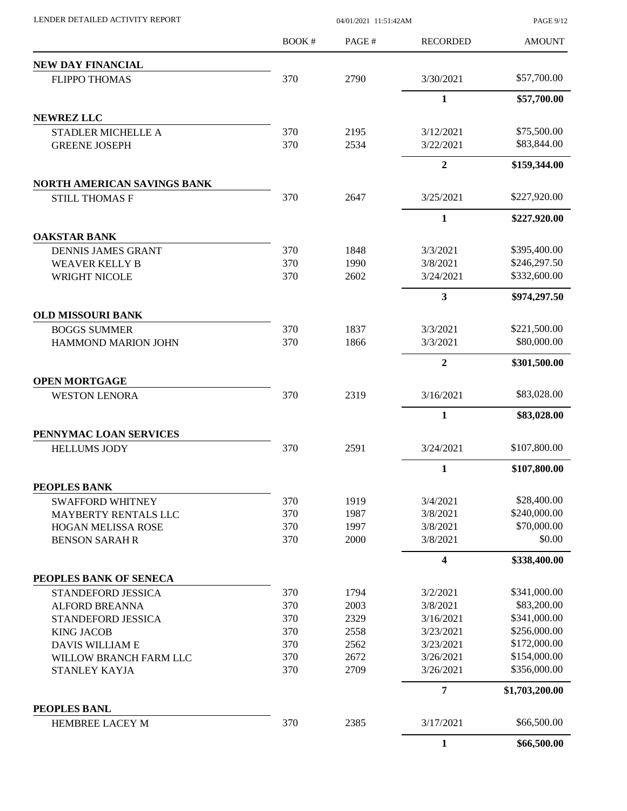| LENDER DETAILED ACTIVITY REPORT                             | 04/01/2021 11:51:42AM |              |                        | <b>PAGE 9/12</b>            |
|-------------------------------------------------------------|-----------------------|--------------|------------------------|-----------------------------|
|                                                             | <b>BOOK#</b>          | PAGE#        | <b>RECORDED</b>        | <b>AMOUNT</b>               |
| NEW DAY FINANCIAL                                           |                       |              |                        |                             |
| <b>FLIPPO THOMAS</b>                                        | 370                   | 2790         | 3/30/2021              | \$57,700.00                 |
|                                                             |                       |              | $\mathbf{1}$           | \$57,700.00                 |
| <b>NEWREZ LLC</b>                                           |                       |              |                        |                             |
| <b>STADLER MICHELLE A</b>                                   | 370                   | 2195         | 3/12/2021              | \$75,500.00                 |
| <b>GREENE JOSEPH</b>                                        | 370                   | 2534         | 3/22/2021              | \$83,844.00                 |
|                                                             |                       |              | $\overline{2}$         | \$159,344.00                |
| <b>NORTH AMERICAN SAVINGS BANK</b><br><b>STILL THOMAS F</b> | 370                   | 2647         | 3/25/2021              | \$227,920.00                |
|                                                             |                       |              | $\mathbf{1}$           | \$227,920.00                |
| <b>OAKSTAR BANK</b>                                         |                       |              |                        |                             |
| <b>DENNIS JAMES GRANT</b>                                   | 370                   | 1848         | 3/3/2021               | \$395,400.00                |
| <b>WEAVER KELLY B</b>                                       | 370                   | 1990         | 3/8/2021               | \$246,297.50                |
| WRIGHT NICOLE                                               | 370                   | 2602         | 3/24/2021              | \$332,600.00                |
|                                                             |                       |              | 3                      | \$974,297.50                |
| <b>OLD MISSOURI BANK</b>                                    |                       |              |                        |                             |
| <b>BOGGS SUMMER</b>                                         | 370                   | 1837         | 3/3/2021               | \$221,500.00                |
| HAMMOND MARION JOHN                                         | 370                   | 1866         | 3/3/2021               | \$80,000.00                 |
|                                                             |                       |              | $\overline{2}$         | \$301,500.00                |
| <b>OPEN MORTGAGE</b>                                        |                       |              |                        |                             |
| <b>WESTON LENORA</b>                                        | 370                   | 2319         | 3/16/2021              | \$83,028.00                 |
|                                                             |                       |              | $\mathbf{1}$           | \$83,028.00                 |
| PENNYMAC LOAN SERVICES                                      |                       |              |                        |                             |
| <b>HELLUMS JODY</b>                                         | 370                   | 2591         | 3/24/2021              | \$107,800.00                |
|                                                             |                       |              | 1                      | \$107,800.00                |
| PEOPLES BANK                                                |                       |              |                        |                             |
| <b>SWAFFORD WHITNEY</b>                                     | 370                   | 1919         | 3/4/2021               | \$28,400.00                 |
| MAYBERTY RENTALS LLC                                        | 370                   | 1987         | 3/8/2021               | \$240,000.00                |
| <b>HOGAN MELISSA ROSE</b>                                   | 370                   | 1997         | 3/8/2021               | \$70,000.00                 |
| <b>BENSON SARAH R</b>                                       | 370                   | 2000         | 3/8/2021               | \$0.00                      |
|                                                             |                       |              | 4                      | \$338,400.00                |
| PEOPLES BANK OF SENECA                                      |                       |              |                        |                             |
| STANDEFORD JESSICA                                          | 370                   | 1794         | 3/2/2021               | \$341,000.00                |
| <b>ALFORD BREANNA</b>                                       | 370                   | 2003         | 3/8/2021               | \$83,200.00<br>\$341,000.00 |
| STANDEFORD JESSICA                                          | 370<br>370            | 2329<br>2558 | 3/16/2021<br>3/23/2021 | \$256,000.00                |
| <b>KING JACOB</b>                                           | 370                   | 2562         | 3/23/2021              | \$172,000.00                |
| DAVIS WILLIAM E                                             | 370                   | 2672         | 3/26/2021              | \$154,000.00                |
| WILLOW BRANCH FARM LLC<br>STANLEY KAYJA                     | 370                   | 2709         | 3/26/2021              | \$356,000.00                |
|                                                             |                       |              | $\overline{7}$         | \$1,703,200.00              |
| PEOPLES BANL                                                |                       |              |                        |                             |
| <b>HEMBREE LACEY M</b>                                      | 370                   | 2385         | 3/17/2021              | \$66,500.00                 |
|                                                             |                       |              | $\mathbf{1}$           | \$66,500.00                 |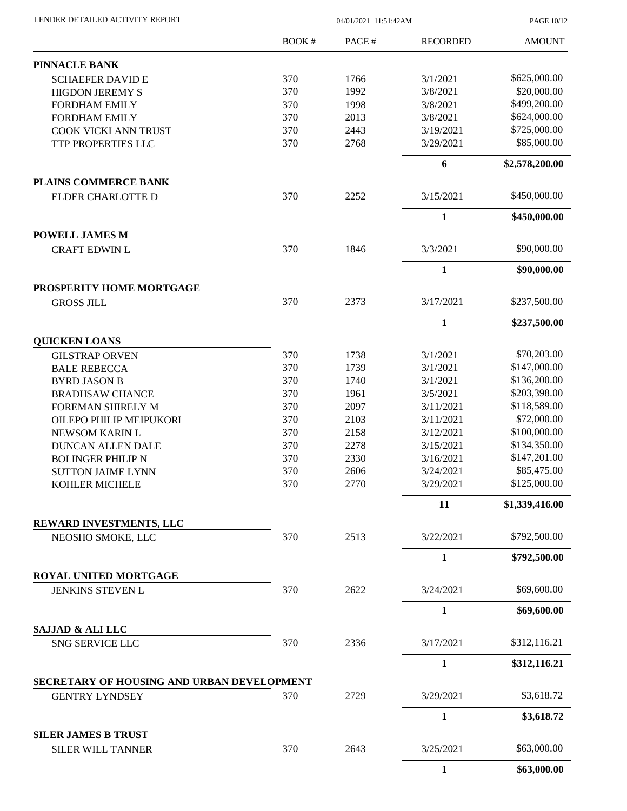| LENDER DETAILED ACTIVITY REPORT            |       | PAGE 10/12 |                 |                |
|--------------------------------------------|-------|------------|-----------------|----------------|
|                                            | BOOK# | PAGE#      | <b>RECORDED</b> | <b>AMOUNT</b>  |
| <b>PINNACLE BANK</b>                       |       |            |                 |                |
| <b>SCHAEFER DAVID E</b>                    | 370   | 1766       | 3/1/2021        | \$625,000.00   |
| <b>HIGDON JEREMY S</b>                     | 370   | 1992       | 3/8/2021        | \$20,000.00    |
| <b>FORDHAM EMILY</b>                       | 370   | 1998       | 3/8/2021        | \$499,200.00   |
| <b>FORDHAM EMILY</b>                       | 370   | 2013       | 3/8/2021        | \$624,000.00   |
| COOK VICKI ANN TRUST                       | 370   | 2443       | 3/19/2021       | \$725,000.00   |
| TTP PROPERTIES LLC                         | 370   | 2768       | 3/29/2021       | \$85,000.00    |
|                                            |       |            | 6               | \$2,578,200.00 |
| PLAINS COMMERCE BANK                       |       |            |                 |                |
| ELDER CHARLOTTE D                          | 370   | 2252       | 3/15/2021       | \$450,000.00   |
|                                            |       |            | $\mathbf{1}$    | \$450,000.00   |
| <b>POWELL JAMES M</b>                      |       |            |                 |                |
| <b>CRAFT EDWIN L</b>                       | 370   | 1846       | 3/3/2021        | \$90,000.00    |
|                                            |       |            | $\mathbf{1}$    | \$90,000.00    |
| PROSPERITY HOME MORTGAGE                   |       |            |                 |                |
| <b>GROSS JILL</b>                          | 370   | 2373       | 3/17/2021       | \$237,500.00   |
|                                            |       |            | $\mathbf{1}$    | \$237,500.00   |
| <b>QUICKEN LOANS</b>                       |       |            |                 |                |
| <b>GILSTRAP ORVEN</b>                      | 370   | 1738       | 3/1/2021        | \$70,203.00    |
| <b>BALE REBECCA</b>                        | 370   | 1739       | 3/1/2021        | \$147,000.00   |
| <b>BYRD JASON B</b>                        | 370   | 1740       | 3/1/2021        | \$136,200.00   |
| <b>BRADHSAW CHANCE</b>                     | 370   | 1961       | 3/5/2021        | \$203,398.00   |
| FOREMAN SHIRELY M                          | 370   | 2097       | 3/11/2021       | \$118,589.00   |
| OILEPO PHILIP MEIPUKORI                    | 370   | 2103       | 3/11/2021       | \$72,000.00    |
| NEWSOM KARIN L                             | 370   | 2158       | 3/12/2021       | \$100,000.00   |
| <b>DUNCAN ALLEN DALE</b>                   | 370   | 2278       | 3/15/2021       | \$134,350.00   |
| <b>BOLINGER PHILIP N</b>                   | 370   | 2330       | 3/16/2021       | \$147,201.00   |
| <b>SUTTON JAIME LYNN</b>                   | 370   | 2606       | 3/24/2021       | \$85,475.00    |
| <b>KOHLER MICHELE</b>                      | 370   | 2770       | 3/29/2021       | \$125,000.00   |
|                                            |       |            | 11              | \$1,339,416.00 |
| REWARD INVESTMENTS, LLC                    |       |            |                 |                |
| NEOSHO SMOKE, LLC                          | 370   | 2513       | 3/22/2021       | \$792,500.00   |
|                                            |       |            | $\mathbf{1}$    | \$792,500.00   |
| ROYAL UNITED MORTGAGE                      |       |            |                 |                |
| JENKINS STEVEN L                           | 370   | 2622       | 3/24/2021       | \$69,600.00    |
|                                            |       |            | $\mathbf{1}$    | \$69,600.00    |
| SAJJAD & ALI LLC                           |       |            |                 |                |
| SNG SERVICE LLC                            | 370   | 2336       | 3/17/2021       | \$312,116.21   |
|                                            |       |            | $\mathbf{1}$    | \$312,116.21   |
| SECRETARY OF HOUSING AND URBAN DEVELOPMENT |       |            |                 |                |
| <b>GENTRY LYNDSEY</b>                      | 370   | 2729       | 3/29/2021       | \$3,618.72     |
|                                            |       |            | $\mathbf{1}$    | \$3,618.72     |
| <b>SILER JAMES B TRUST</b>                 |       |            |                 |                |
| SILER WILL TANNER                          | 370   | 2643       | 3/25/2021       | \$63,000.00    |
|                                            |       |            | $\mathbf{1}$    | \$63,000.00    |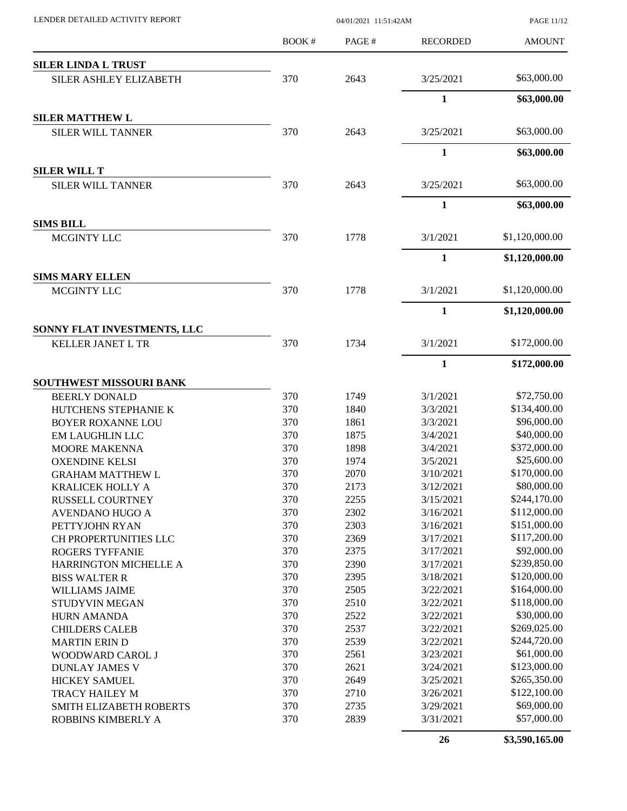| LENDER DETAILED ACTIVITY REPORT       |        | 04/01/2021 11:51:42AM |                 | PAGE 11/12     |
|---------------------------------------|--------|-----------------------|-----------------|----------------|
|                                       | BOOK # | PAGE#                 | <b>RECORDED</b> | <b>AMOUNT</b>  |
| <b>SILER LINDA L TRUST</b>            |        |                       |                 |                |
| <b>SILER ASHLEY ELIZABETH</b>         | 370    | 2643                  | 3/25/2021       | \$63,000.00    |
|                                       |        |                       | 1               | \$63,000.00    |
| <b>SILER MATTHEW L</b>                |        |                       |                 |                |
| <b>SILER WILL TANNER</b>              | 370    | 2643                  | 3/25/2021       | \$63,000.00    |
|                                       |        |                       | $\mathbf{1}$    | \$63,000.00    |
| <b>SILER WILL T</b>                   |        |                       |                 |                |
| <b>SILER WILL TANNER</b>              | 370    | 2643                  | 3/25/2021       | \$63,000.00    |
|                                       |        |                       | $\mathbf{1}$    | \$63,000.00    |
| <b>SIMS BILL</b>                      |        |                       |                 |                |
| MCGINTY LLC                           | 370    | 1778                  | 3/1/2021        | \$1,120,000.00 |
|                                       |        |                       | $\mathbf{1}$    | \$1,120,000.00 |
| <b>SIMS MARY ELLEN</b><br>MCGINTY LLC | 370    | 1778                  | 3/1/2021        | \$1,120,000.00 |
|                                       |        |                       | $\mathbf{1}$    | \$1,120,000.00 |
| SONNY FLAT INVESTMENTS, LLC           |        |                       |                 |                |
| KELLER JANET L TR                     | 370    | 1734                  | 3/1/2021        | \$172,000.00   |
|                                       |        |                       | $\mathbf{1}$    | \$172,000.00   |
| <b>SOUTHWEST MISSOURI BANK</b>        |        |                       |                 |                |
| <b>BEERLY DONALD</b>                  | 370    | 1749                  | 3/1/2021        | \$72,750.00    |
| HUTCHENS STEPHANIE K                  | 370    | 1840                  | 3/3/2021        | \$134,400.00   |
| <b>BOYER ROXANNE LOU</b>              | 370    | 1861                  | 3/3/2021        | \$96,000.00    |
| <b>EM LAUGHLIN LLC</b>                | 370    | 1875                  | 3/4/2021        | \$40,000.00    |
| <b>MOORE MAKENNA</b>                  | 370    | 1898                  | 3/4/2021        | \$372,000.00   |
| <b>OXENDINE KELSI</b>                 | 370    | 1974                  | 3/5/2021        | \$25,600.00    |
| <b>GRAHAM MATTHEW L</b>               | 370    | 2070                  | 3/10/2021       | \$170,000.00   |
| KRALICEK HOLLY A                      | 370    | 2173                  | 3/12/2021       | \$80,000.00    |
| <b>RUSSELL COURTNEY</b>               | 370    | 2255                  | 3/15/2021       | \$244,170.00   |
| AVENDANO HUGO A                       | 370    | 2302                  | 3/16/2021       | \$112,000.00   |
| PETTYJOHN RYAN                        | 370    | 2303                  | 3/16/2021       | \$151,000.00   |
| CH PROPERTUNITIES LLC                 | 370    | 2369                  | 3/17/2021       | \$117,200.00   |
| ROGERS TYFFANIE                       | 370    | 2375                  | 3/17/2021       | \$92,000.00    |
| <b>HARRINGTON MICHELLE A</b>          | 370    | 2390                  | 3/17/2021       | \$239,850.00   |
| <b>BISS WALTER R</b>                  | 370    | 2395                  | 3/18/2021       | \$120,000.00   |
| <b>WILLIAMS JAIME</b>                 | 370    | 2505                  | 3/22/2021       | \$164,000.00   |
| <b>STUDYVIN MEGAN</b>                 | 370    | 2510                  | 3/22/2021       | \$118,000.00   |
| HURN AMANDA                           | 370    | 2522                  | 3/22/2021       | \$30,000.00    |
| <b>CHILDERS CALEB</b>                 | 370    | 2537                  | 3/22/2021       | \$269,025.00   |
| <b>MARTIN ERIN D</b>                  | 370    | 2539                  | 3/22/2021       | \$244,720.00   |
| WOODWARD CAROL J                      | 370    | 2561                  | 3/23/2021       | \$61,000.00    |
| <b>DUNLAY JAMES V</b>                 | 370    | 2621                  | 3/24/2021       | \$123,000.00   |
| <b>HICKEY SAMUEL</b>                  | 370    | 2649                  | 3/25/2021       | \$265,350.00   |
| TRACY HAILEY M                        | 370    | 2710                  | 3/26/2021       | \$122,100.00   |
| SMITH ELIZABETH ROBERTS               | 370    | 2735                  | 3/29/2021       | \$69,000.00    |
| ROBBINS KIMBERLY A                    | 370    | 2839                  | 3/31/2021       | \$57,000.00    |
|                                       |        |                       | 26              | \$3,590,165.00 |